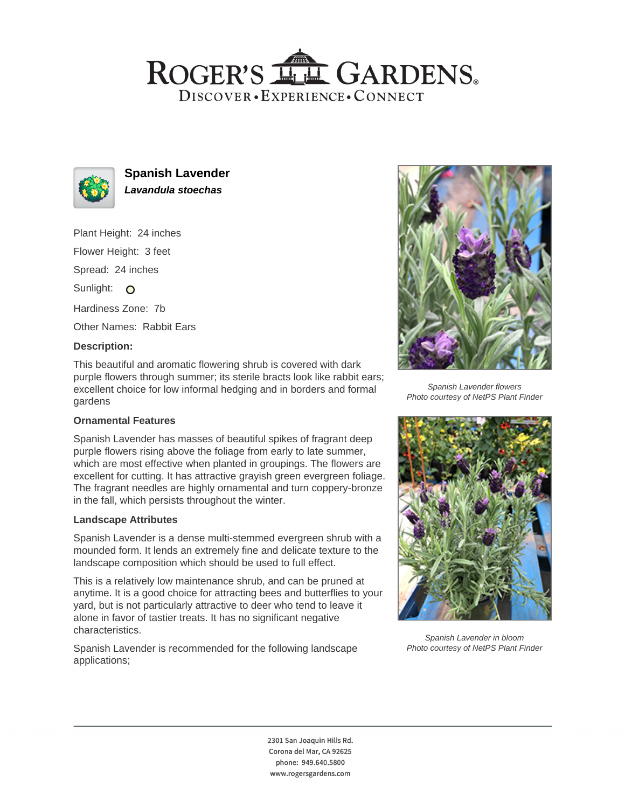# ROGER'S LL GARDENS. DISCOVER · EXPERIENCE · CONNECT



**Spanish Lavender Lavandula stoechas**

Plant Height: 24 inches Flower Height: 3 feet Spread: 24 inches Sunlight: O Hardiness Zone: 7b

Other Names: Rabbit Ears

#### **Description:**

This beautiful and aromatic flowering shrub is covered with dark purple flowers through summer; its sterile bracts look like rabbit ears; excellent choice for low informal hedging and in borders and formal gardens

## **Ornamental Features**

Spanish Lavender has masses of beautiful spikes of fragrant deep purple flowers rising above the foliage from early to late summer, which are most effective when planted in groupings. The flowers are excellent for cutting. It has attractive grayish green evergreen foliage. The fragrant needles are highly ornamental and turn coppery-bronze in the fall, which persists throughout the winter.

#### **Landscape Attributes**

Spanish Lavender is a dense multi-stemmed evergreen shrub with a mounded form. It lends an extremely fine and delicate texture to the landscape composition which should be used to full effect.

This is a relatively low maintenance shrub, and can be pruned at anytime. It is a good choice for attracting bees and butterflies to your yard, but is not particularly attractive to deer who tend to leave it alone in favor of tastier treats. It has no significant negative characteristics.

Spanish Lavender is recommended for the following landscape applications;



Spanish Lavender flowers Photo courtesy of NetPS Plant Finder



Spanish Lavender in bloom Photo courtesy of NetPS Plant Finder

2301 San Joaquin Hills Rd. Corona del Mar, CA 92625 phone: 949.640.5800 www.rogersgardens.com